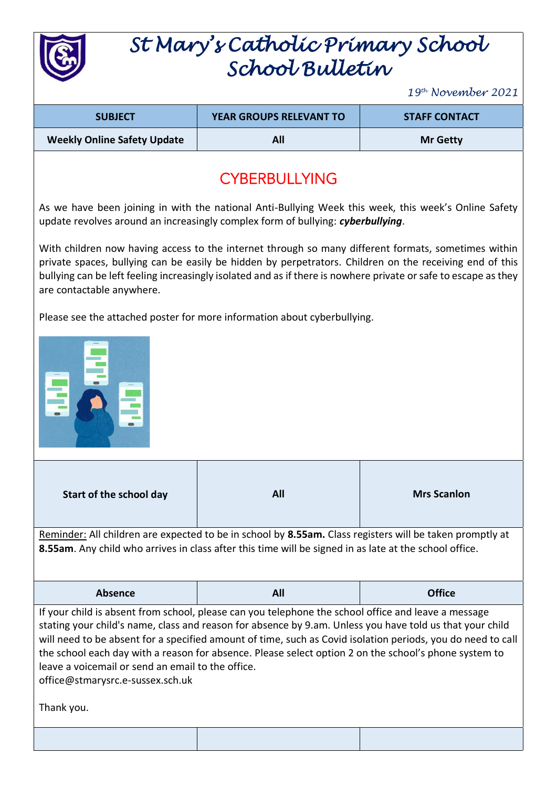

## *St Mary's Catholic Primary School School Bulletin*

*19 th November 2021*

| <b>SUBJECT</b>                     | <b>YEAR GROUPS RELEVANT TO</b> | <b>STAFF CONTACT</b> |
|------------------------------------|--------------------------------|----------------------|
| <b>Weekly Online Safety Update</b> |                                | <b>Mr Getty</b>      |

## **CYBERBULLYING**

As we have been joining in with the national Anti-Bullying Week this week, this week's Online Safety update revolves around an increasingly complex form of bullying: *cyberbullying*.

With children now having access to the internet through so many different formats, sometimes within private spaces, bullying can be easily be hidden by perpetrators. Children on the receiving end of this bullying can be left feeling increasingly isolated and as if there is nowhere private or safe to escape as they are contactable anywhere.

Please see the attached poster for more information about cyberbullying.



| Start of the school day                                                                                                                                                                                                                                                                                                                                                                                                                                                                                                                        | All | <b>Mrs Scanlon</b> |  |  |
|------------------------------------------------------------------------------------------------------------------------------------------------------------------------------------------------------------------------------------------------------------------------------------------------------------------------------------------------------------------------------------------------------------------------------------------------------------------------------------------------------------------------------------------------|-----|--------------------|--|--|
| Reminder: All children are expected to be in school by 8.55am. Class registers will be taken promptly at<br>8.55am. Any child who arrives in class after this time will be signed in as late at the school office.                                                                                                                                                                                                                                                                                                                             |     |                    |  |  |
| <b>Absence</b>                                                                                                                                                                                                                                                                                                                                                                                                                                                                                                                                 | All | <b>Office</b>      |  |  |
| If your child is absent from school, please can you telephone the school office and leave a message<br>stating your child's name, class and reason for absence by 9.am. Unless you have told us that your child<br>will need to be absent for a specified amount of time, such as Covid isolation periods, you do need to call<br>the school each day with a reason for absence. Please select option 2 on the school's phone system to<br>leave a voicemail or send an email to the office.<br>office@stmarysrc.e-sussex.sch.uk<br>Thank you. |     |                    |  |  |
|                                                                                                                                                                                                                                                                                                                                                                                                                                                                                                                                                |     |                    |  |  |